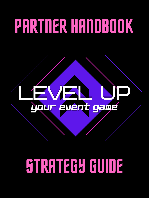level up

## your event game

# **STRATEGYGUIDE**

# PARTNERHANDBOOK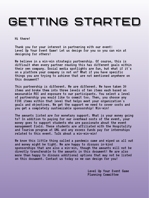## GETTING STARTED

Hi there!

Thank you for your interest in partnering with our event: Level Up Your Event Game! Let us design for you so you can win at designing for others!

We believe in a win-win strategic partnership. Of course, this is difficult when every partner reading this has different goals within their own company. Social media spotlights are fun, but what if it' s on a platform your company is not on? What if you have specific things you are trying to achieve that are not mentioned anywhere on this document?

This partnership is different. We are different. We have taken 30 items and broke them into three levels of ten items each based on measurable ROI and exposure to our participants. You select a level of partnership you would like to commit too. Then, you choose any FIVE items within that level that helps meet your organization 's

goals and objectives. We get the support we need to cover costs and you get a completely customizable sponsorship! Win-win!

The amounts listed are for monetary support. What is your money going to? In addition to paying for our overhead costs of the event, your money goes to support students who are passionate about the event management field. These students are affiliated with the Hospitality and Tourism program at UNL and any excess funds pay for internships related to this event. Talk about a win-win-win!

We know this little thing called a pandemic came and wiped us all out and money might be tight. We are happy to discuss in-kind sponsorships that are also a win-win, though the amounts will not be directly transferable to the amounts in this document! We are also more than happy to discuss additional options that may not be listed on this document. Contact us today so we can design for you!

> Level Up Your Event Game Planning Committee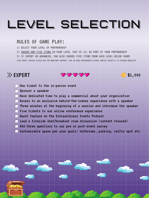## LEVEL SELECTION

#### RULES OF GAME PLAY:

- 1) SELECT YOUR LEVEL OF PARTNERSHIP
- 2) CHOOSE ANY FIVE ITEMS IN YOUR LEVEL (OUT OF 10) AS PART OF YOUR PARTNERSHIP
- 3) IF EXPERT OR ADVANCED, YOU ALSO CHOOSE FIVE ITEMS FROM EACH LEVEL BELOW YOURS

FINE PRINT: PRICES LISTED ARE FOR MONETARY SUPPORT, FOR IN-KIND PARTNERSHIP PLEASE CONTACT DIRECTLY TO DISCUSS BENEFITS

### $\gg$  EXPERT

One ticket to the in-person event

- Sponsor a speaker
- Have dedicated time to play a commercial about your organization
- Access to an exclusive behind-the-scenes experience with a speaker

**(S) \$1,000** 



Three minutes at the beginning of a session and introduce the speaker  $\Box$  Five tickets to our online conference experience Guest feature on the Extraordinary Events Podcast Lead a fireside chat/breakout room discussion (content focused) Add three questions to our pre or post-event survey Customizable space per your goals: bathrooms, parking, selfie spot etc

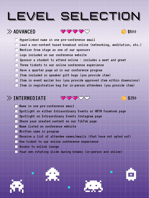## LEVEL SELECTION

### $\gg$  ADVANCED



- Hyperlinked name in one pre-conference email
- $\Box$  Lead a non-content based breakout online (networking, meditation, etc.)
- Mention from stage as one of our sponsors
- Logo included on our conference website
- Sponsor a student to attend online includes a meet and greet
- $\Box$  Three tickets to our online conference experience
- Have a quarter page ad in our conference program
- Item included in speaker gift bags (you provide item)
- Item in event mailer box (you provide approved item within dimensions)
- Item in registration bag for in-person attendees (you provide item)

#### $\gg$  INTERMEDIATE

❤❤

- $\Box$  Name in one pre-conference email
- $\Box$  Spotlight on either Extraordinary Events or HRTM Facebook page
- Spotlight on Extraordinary Events Instagram page
- Share your created content on our TikTok page
- Name listed on conference website
- Written name in program
- $\Box$  Receive a list of attendee names/emails (that have not opted out)
- One ticket to our online conference experience
- Access to online lounge
- Your own rotating slide during breaks (in-person and online)